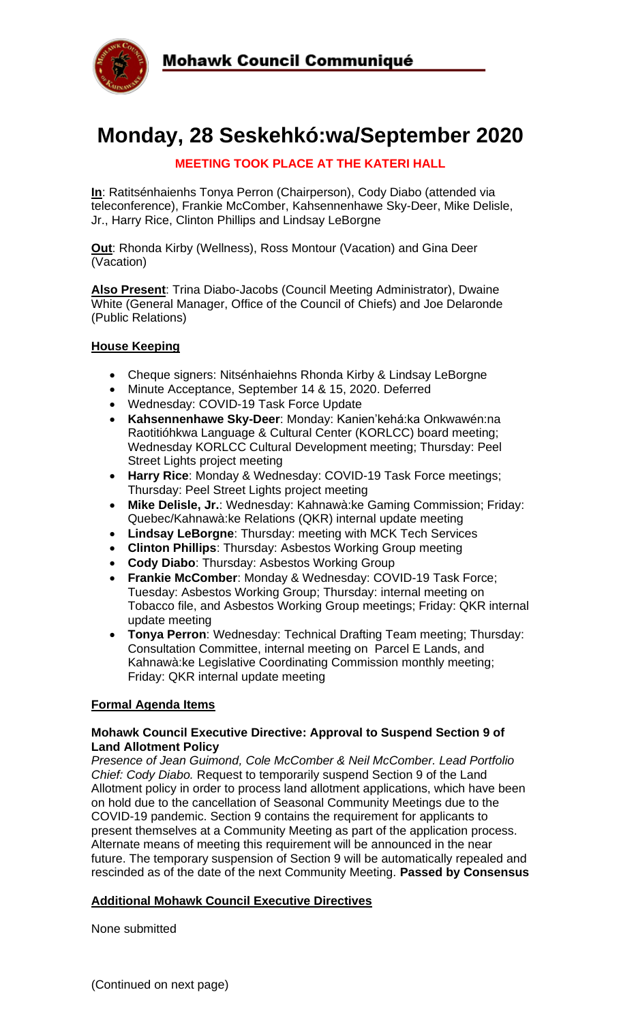

# **Monday, 28 Seskehkó:wa/September 2020**

## **MEETING TOOK PLACE AT THE KATERI HALL**

**In**: Ratitsénhaienhs Tonya Perron (Chairperson), Cody Diabo (attended via teleconference), Frankie McComber, Kahsennenhawe Sky-Deer, Mike Delisle, Jr., Harry Rice, Clinton Phillips and Lindsay LeBorgne

**Out**: Rhonda Kirby (Wellness), Ross Montour (Vacation) and Gina Deer (Vacation)

**Also Present**: Trina Diabo-Jacobs (Council Meeting Administrator), Dwaine White (General Manager, Office of the Council of Chiefs) and Joe Delaronde (Public Relations)

#### **House Keeping**

- Cheque signers: Nitsénhaiehns Rhonda Kirby & Lindsay LeBorgne
- Minute Acceptance, September 14 & 15, 2020. Deferred
- Wednesday: COVID-19 Task Force Update
- **Kahsennenhawe Sky-Deer**: Monday: Kanien'kehá:ka Onkwawén:na Raotitióhkwa Language & Cultural Center (KORLCC) board meeting; Wednesday KORLCC Cultural Development meeting; Thursday: Peel Street Lights project meeting
- **Harry Rice**: Monday & Wednesday: COVID-19 Task Force meetings; Thursday: Peel Street Lights project meeting
- **Mike Delisle, Jr.**: Wednesday: Kahnawà:ke Gaming Commission; Friday: Quebec/Kahnawà:ke Relations (QKR) internal update meeting
- **Lindsay LeBorgne**: Thursday: meeting with MCK Tech Services
- **Clinton Phillips**: Thursday: Asbestos Working Group meeting
- **Cody Diabo**: Thursday: Asbestos Working Group
- **Frankie McComber**: Monday & Wednesday: COVID-19 Task Force; Tuesday: Asbestos Working Group; Thursday: internal meeting on Tobacco file, and Asbestos Working Group meetings; Friday: QKR internal update meeting
- **Tonya Perron**: Wednesday: Technical Drafting Team meeting; Thursday: Consultation Committee, internal meeting on Parcel E Lands, and Kahnawà:ke Legislative Coordinating Commission monthly meeting; Friday: QKR internal update meeting

#### **Formal Agenda Items**

#### **Mohawk Council Executive Directive: Approval to Suspend Section 9 of Land Allotment Policy**

*Presence of Jean Guimond, Cole McComber & Neil McComber. Lead Portfolio Chief: Cody Diabo.* Request to temporarily suspend Section 9 of the Land Allotment policy in order to process land allotment applications, which have been on hold due to the cancellation of Seasonal Community Meetings due to the COVID-19 pandemic. Section 9 contains the requirement for applicants to present themselves at a Community Meeting as part of the application process. Alternate means of meeting this requirement will be announced in the near future. The temporary suspension of Section 9 will be automatically repealed and rescinded as of the date of the next Community Meeting. **Passed by Consensus**

#### **Additional Mohawk Council Executive Directives**

None submitted